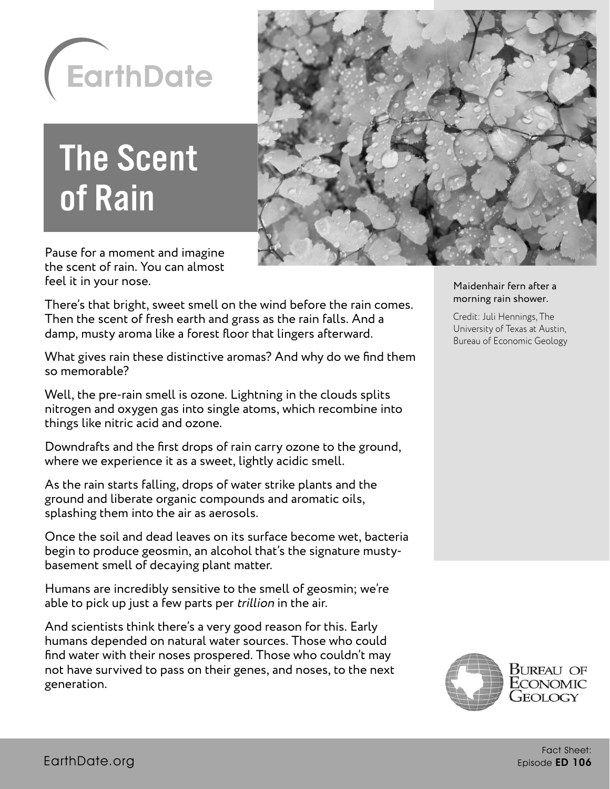

## The Scent of Rain



Pause for a moment and imagine the scent of rain. You can almost feel it in your nose.

There's that bright, sweet smell on the wind before the rain comes. Then the scent of fresh earth and grass as the rain falls. And a damp, musty aroma like a forest floor that lingers afterward.

What gives rain these distinctive aromas? And why do we find them so memorable?

Well, the pre-rain smell is ozone. Lightning in the clouds splits nitrogen and oxygen gas into single atoms, which recombine into things like nitric acid and ozone.

Downdrafts and the first drops of rain carry ozone to the ground, where we experience it as a sweet, lightly acidic smell.

As the rain starts falling, drops of water strike plants and the ground and liberate organic compounds and aromatic oils, splashing them into the air as aerosols.

Once the soil and dead leaves on its surface become wet, bacteria begin to produce geosmin, an alcohol that's the signature mustybasement smell of decaying plant matter.

Humans are incredibly sensitive to the smell of geosmin; we're able to pick up just a few parts per *trillion* in the air.

And scientists think there's a very good reason for this. Early humans depended on natural water sources. Those who could find water with their noses prospered. Those who couldn't may not have survived to pass on their genes, and noses, to the next generation.

## Maidenhair fern after a morning rain shower.

Credit: Juli Hennings, The University of Texas at Austin, Bureau of Economic Geology